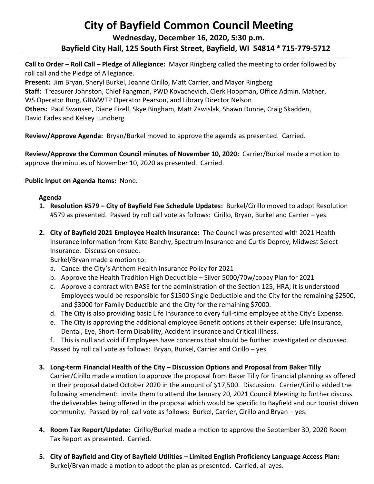# **City of Bayfield Common Council Meeting**

**Wednesday, December 16, 2020, 5:30 p.m.**

#### **Bayfield City Hall, 125 South First Street, Bayfield, WI 54814 \*715-779-5712** \_\_\_\_\_\_\_\_\_\_\_\_\_\_\_\_\_\_\_\_\_\_\_\_\_\_\_\_\_\_\_\_\_\_\_\_\_\_\_\_\_\_\_\_\_\_\_\_\_\_\_\_\_\_\_\_\_\_\_\_\_\_\_\_\_\_\_\_\_\_\_\_\_\_\_\_\_\_\_\_\_\_\_\_\_\_\_\_\_\_\_\_\_\_\_\_\_\_\_\_\_\_\_\_\_\_\_\_\_\_\_\_\_\_\_\_\_\_\_\_\_\_\_\_\_\_\_\_\_\_\_\_\_

 **Call to Order – Roll Call – Pledge of Allegiance:** Mayor Ringberg called the meeting to order followed by roll call and the Pledge of Allegiance.

 **Present:** Jim Bryan, Sheryl Burkel, Joanne Cirillo, Matt Carrier, and Mayor Ringberg  **Staff:** Treasurer Johnston, Chief Fangman, PWD Kovachevich, Clerk Hoopman, Office Admin. Mather, WS Operator Burg, GBWWTP Operator Pearson, and Library Director Nelson  **Others:** Paul Swansen, Diane Fizell, Skye Bingham, Matt Zawislak, Shawn Dunne, Craig Skadden, David Eades and Kelsey Lundberg

 **Review/Approve Agenda:** Bryan/Burkel moved to approve the agenda as presented. Carried.

 **Review/Approve the Common Council minutes of November 10, 2020:** Carrier/Burkel made a motion to approve the minutes of November 10, 2020 as presented. Carried.

## **Public Input on Agenda Items:** None.

## **Agenda**

- **1. Resolution #579 – City of Bayfield Fee Schedule Updates:** Burkel/Cirillo moved to adopt Resolution #579 as presented. Passed by roll call vote as follows: Cirillo, Bryan, Burkel and Carrier – yes.
- **2. City of Bayfield 2021 Employee Health Insurance:** The Council was presented with 2021 Health Insurance Information from Kate Banchy, Spectrum Insurance and Curtis Deprey, Midwest Select Insurance. Discussion ensued.

Burkel/Bryan made a motion to:

- a. Cancel the City's Anthem Health Insurance Policy for 2021
- b. Approve the Health Tradition High Deductible Silver 5000/70w/copay Plan for 2021
- c. Approve a contract with BASE for the administration of the Section 125, HRA; it is understood Employees would be responsible for \$1500 Single Deductible and the City for the remaining \$2500, and \$3000 for Family Deductible and the City for the remaining \$7000.
- d. The City is also providing basic Life Insurance to every full-time employee at the City's Expense.
- e. The City is approving the additional employee Benefit options at their expense: Life Insurance, Dental, Eye, Short-Term Disability, Accident Insurance and Critical Illness.
- f. This is null and void if Employees have concerns that should be further investigated or discussed. Passed by roll call vote as follows: Bryan, Burkel, Carrier and Cirillo - yes.

# **3. Long-term Financial Health of the City – Discussion Options and Proposal from Baker Tilly**

Carrier/Cirillo made a motion to approve the proposal from Baker Tilly for financial planning as offered in their proposal dated October 2020 in the amount of \$17,500. Discussion. Carrier/Cirillo added the following amendment: invite them to attend the January 20, 2021 Council Meeting to further discuss the deliverables being offered in the proposal which would be specific to Bayfield and our tourist driven community. Passed by roll call vote as follows: Burkel, Carrier, Cirillo and Bryan – yes.

- **4. Room Tax Report/Update:** Cirillo/Burkel made a motion to approve the September 30, 2020 Room Tax Report as presented. Carried.
- **5. City of Bayfield and City of Bayfield Utilities – Limited English Proficiency Language Access Plan:** Burkel/Bryan made a motion to adopt the plan as presented. Carried, all ayes.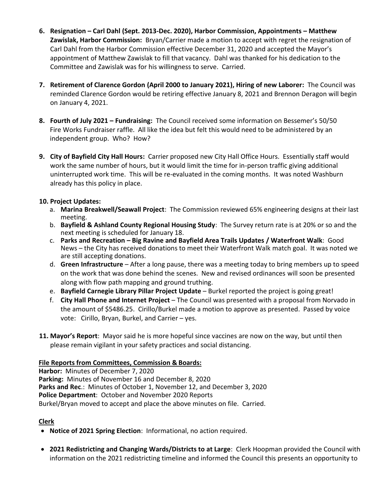- **6. Resignation – Carl Dahl (Sept. 2013-Dec. 2020), Harbor Commission, Appointments – Matthew Zawislak, Harbor Commission:** Bryan/Carrier made a motion to accept with regret the resignation of Carl Dahl from the Harbor Commission effective December 31, 2020 and accepted the Mayor's appointment of Matthew Zawislak to fill that vacancy. Dahl was thanked for his dedication to the Committee and Zawislak was for his willingness to serve. Carried.
- **7. Retirement of Clarence Gordon (April 2000 to January 2021), Hiring of new Laborer:** The Council was reminded Clarence Gordon would be retiring effective January 8, 2021 and Brennon Deragon will begin on January 4, 2021.
- **8. Fourth of July 2021 – Fundraising:** The Council received some information on Bessemer's 50/50 Fire Works Fundraiser raffle. All like the idea but felt this would need to be administered by an independent group. Who? How?
- **9. City of Bayfield City Hall Hours:** Carrier proposed new City Hall Office Hours. Essentially staff would work the same number of hours, but it would limit the time for in-person traffic giving additional uninterrupted work time. This will be re-evaluated in the coming months. It was noted Washburn already has this policy in place.

## **10. Project Updates:**

- a. **Marina Breakwell/Seawall Project**: The Commission reviewed 65% engineering designs at their last meeting.
- b. **Bayfield & Ashland County Regional Housing Study**: The Survey return rate is at 20% or so and the next meeting is scheduled for January 18.
- c. **Parks and Recreation – Big Ravine and Bayfield Area Trails Updates / Waterfront Walk**: Good News – the City has received donations to meet their Waterfront Walk match goal. It was noted we are still accepting donations.
- d. **Green Infrastructure** After a long pause, there was a meeting today to bring members up to speed on the work that was done behind the scenes. New and revised ordinances will soon be presented along with flow path mapping and ground truthing.
- e. **Bayfield Carnegie Library Pillar Project Update** Burkel reported the project is going great!
- f. **City Hall Phone and Internet Project** The Council was presented with a proposal from Norvado in the amount of \$5486.25. Cirillo/Burkel made a motion to approve as presented. Passed by voice vote: Cirillo, Bryan, Burkel, and Carrier – yes.
- **11. Mayor's Report**: Mayor said he is more hopeful since vaccines are now on the way, but until then please remain vigilant in your safety practices and social distancing.

## **File Reports from Committees, Commission & Boards:**

**Harbor:** Minutes of December 7, 2020 **Parking:** Minutes of November 16 and December 8, 2020 **Parks and Rec**.: Minutes of October 1, November 12, and December 3, 2020 **Police Department**: October and November 2020 Reports Burkel/Bryan moved to accept and place the above minutes on file. Carried.

# **Clerk**

- **Notice of 2021 Spring Election**: Informational, no action required.
- **2021 Redistricting and Changing Wards/Districts to at Large**: Clerk Hoopman provided the Council with information on the 2021 redistricting timeline and informed the Council this presents an opportunity to